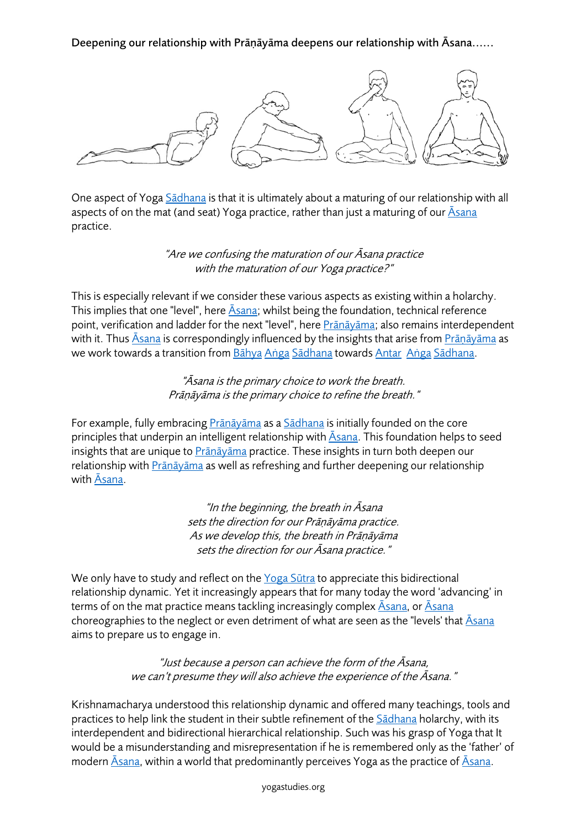Deepening our relationship with Prāṇāyāma deepens our relationship with Āsana......



One aspect of Yoga Sadhana is that it is ultimately about a maturing of our relationship with all aspects of on the mat (and seat) Yoga practice, rather than just a maturing of our  $\bar{A}$ sana practice.

> "Are we confusing the maturation of our Āsana practice with the maturation of our Yoga practice?"

This is especially relevant if we consider these various aspects as existing within a holarchy. This implies that one "level", here Asana; whilst being the foundation, technical reference point, verification and ladder for the next "level", here Prāṇāyāma; also remains interdependent with it. Thus Asana is correspondingly influenced by the insights that arise from Prānāyāma as we work towards a transition from Bāhya Aṅga Sādhana towards Antar Aṅga Sādhana.

> "Āsana is the primary choice to work the breath. Prāṇāyāma is the primary choice to refine the breath."

For example, fully embracing **Prānāyāma as a Sādhana** is initially founded on the core principles that underpin an intelligent relationship with  $\bar{A}$ sana. This foundation helps to seed insights that are unique to Prāṇāyāma practice. These insights in turn both deepen our relationship with Prāṇāyāma as well as refreshing and further deepening our relationship with Āsana.

> "In the beginning, the breath in Āsana sets the direction for our Prāṇāyāma practice. As we develop this, the breath in Prāṇāyāma sets the direction for our Āsana practice."

We only have to study and reflect on the Yoga Sūtra to appreciate this bidirectional relationship dynamic. Yet it increasingly appears that for many today the word 'advancing' in terms of on the mat practice means tackling increasingly complex  $\overline{A}$ sana, or  $\overline{A}$ sana choreographies to the neglect or even detriment of what are seen as the "levels' that  $\bar{A}$ sana aims to prepare us to engage in.

> "Just because a person can achieve the form of the Āsana, we can't presume they will also achieve the experience of the Āsana."

Krishnamacharya understood this relationship dynamic and offered many teachings, tools and practices to help link the student in their subtle refinement of the Sādhana holarchy, with its interdependent and bidirectional hierarchical relationship. Such was his grasp of Yoga that It would be a misunderstanding and misrepresentation if he is remembered only as the 'father' of modern  $\bar{A}$ sana, within a world that predominantly perceives Yoga as the practice of  $\bar{A}$ sana.